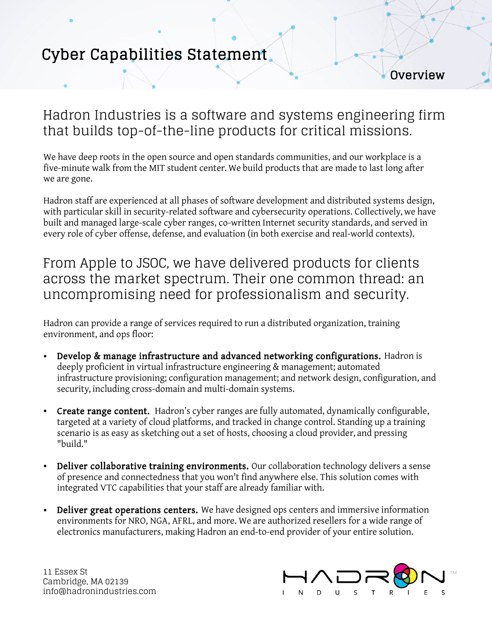# Cyber Capabilities Statement

**Overview** 

### Hadron Industries is a software and systems engineering firm that builds top-of-the-line products for critical missions.

We have deep roots in the open source and open standards communities, and our workplace is a five-minute walk from the MIT student center. We build products that are made to last long after we are gone.

Hadron staff are experienced at all phases of software development and distributed systems design, with particular skill in security-related software and cybersecurity operations. Collectively, we have built and managed large-scale cyber ranges, co-written Internet security standards, and served in every role of cyber offense, defense, and evaluation (in both exercise and real-world contexts).

From Apple to JSOC, we have delivered products for clients across the market spectrum. Their one common thread: an uncompromising need for professionalism and security.

Hadron can provide a range of services required to run a distributed organization, training environment, and ops floor:

- Develop & manage infrastructure and advanced networking configurations. Hadron is deeply proficient in virtual infrastructure engineering & management; automated infrastructure provisioning; configuration management; and network design, configuration, and security, including cross-domain and multi-domain systems.
- Create range content. Hadron's cyber ranges are fully automated, dynamically configurable, targeted at a variety of cloud platforms, and tracked in change control. Standing up a training scenario is as easy as sketching out a set of hosts, choosing a cloud provider, and pressing "build."
- Deliver collaborative training environments. Our collaboration technology delivers a sense of presence and connectedness that you won't find anywhere else. This solution comes with integrated VTC capabilities that your staff are already familiar with.
- Deliver great operations centers. We have designed ops centers and immersive information environments for NRO, NGA, AFRL, and more. We are authorized resellers for a wide range of electronics manufacturers, making Hadron an end-to-end provider of your entire solution.

11 Essex St Cambridge, MA 02139 info@hadronindustries.com

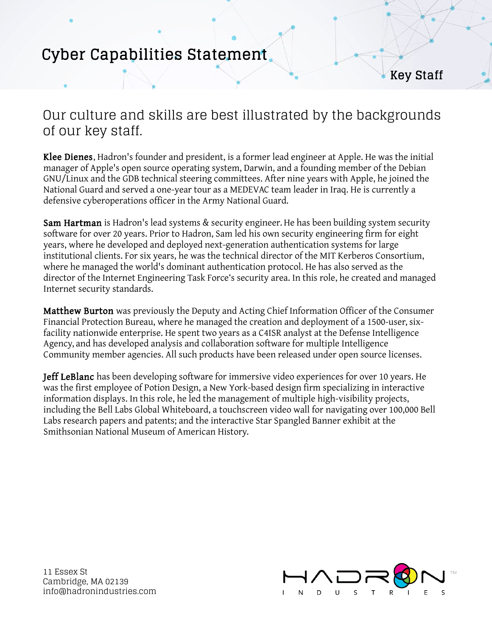# Cyber Capabilities Statement

Key Staff

### Our culture and skills are best illustrated by the backgrounds of our key staff.

Klee Dienes, Hadron's founder and president, is a former lead engineer at Apple. He was the initial manager of Apple's open source operating system, Darwin, and a founding member of the Debian GNU/Linux and the GDB technical steering committees. After nine years with Apple, he joined the National Guard and served a one-year tour as a MEDEVAC team leader in Iraq. He is currently a defensive cyberoperations officer in the Army National Guard.

Sam Hartman is Hadron's lead systems & security engineer. He has been building system security software for over 20 years. Prior to Hadron, Sam led his own security engineering firm for eight years, where he developed and deployed next-generation authentication systems for large institutional clients. For six years, he was the technical director of the MIT Kerberos Consortium, where he managed the world's dominant authentication protocol. He has also served as the director of the Internet Engineering Task Force's security area. In this role, he created and managed Internet security standards.

Matthew Burton was previously the Deputy and Acting Chief Information Officer of the Consumer Financial Protection Bureau, where he managed the creation and deployment of a 1500-user, sixfacility nationwide enterprise. He spent two years as a C4ISR analyst at the Defense Intelligence Agency, and has developed analysis and collaboration software for multiple Intelligence Community member agencies. All such products have been released under open source licenses.

Jeff LeBlanc has been developing software for immersive video experiences for over 10 years. He was the first employee of Potion Design, a New York-based design firm specializing in interactive information displays. In this role, he led the management of multiple high-visibility projects, including the Bell Labs Global Whiteboard, a touchscreen video wall for navigating over 100,000 Bell Labs research papers and patents; and the interactive Star Spangled Banner exhibit at the Smithsonian National Museum of American History.

11 Essex St Cambridge, MA 02139 info@hadronindustries.com